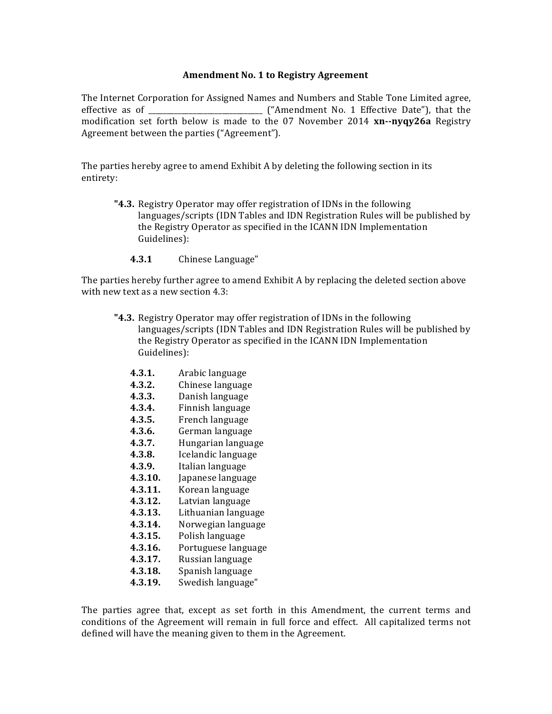## **Amendment No. 1 to Registry Agreement**

The Internet Corporation for Assigned Names and Numbers and Stable Tone Limited agree, effective as of \_\_\_\_\_\_\_\_\_\_\_\_\_\_\_\_\_\_\_\_\_\_\_\_\_\_\_\_\_\_\_ ("Amendment No. 1 Effective Date"), that the modification set forth below is made to the 07 November 2014 **xn--nyqy26a** Registry Agreement between the parties ("Agreement").

The parties hereby agree to amend Exhibit A by deleting the following section in its entirety:

- **"4.3.** Registry Operator may offer registration of IDNs in the following languages/scripts (IDN Tables and IDN Registration Rules will be published by the Registry Operator as specified in the ICANN IDN Implementation Guidelines):
	- 4.3.1 Chinese Language"

The parties hereby further agree to amend Exhibit A by replacing the deleted section above with new text as a new section 4.3:

- **"4.3.** Registry Operator may offer registration of IDNs in the following languages/scripts (IDN Tables and IDN Registration Rules will be published by the Registry Operator as specified in the ICANN IDN Implementation Guidelines):
	- **4.3.1.** Arabic language
	- **4.3.2.** Chinese language
	- **4.3.3.** Danish language
	- **4.3.4.** Finnish language
	- **4.3.5.** French language
	- 4.3.6. German language
	- **4.3.7.** Hungarian language
	- **4.3.8.** Icelandic language
	- **4.3.9.** Italian language
	- **4.3.10.** Japanese language
	- **4.3.11.** Korean language
	- 4.3.12. Latvian language
	- **4.3.13.** Lithuanian language
	- 4.3.14. Norwegian language
	- 4.3.15. Polish language
	- **4.3.16.** Portuguese language
	- **4.3.17.** Russian language
	- **4.3.18.** Spanish language
	- 4.3.19. Swedish language"

The parties agree that, except as set forth in this Amendment, the current terms and conditions of the Agreement will remain in full force and effect. All capitalized terms not defined will have the meaning given to them in the Agreement.